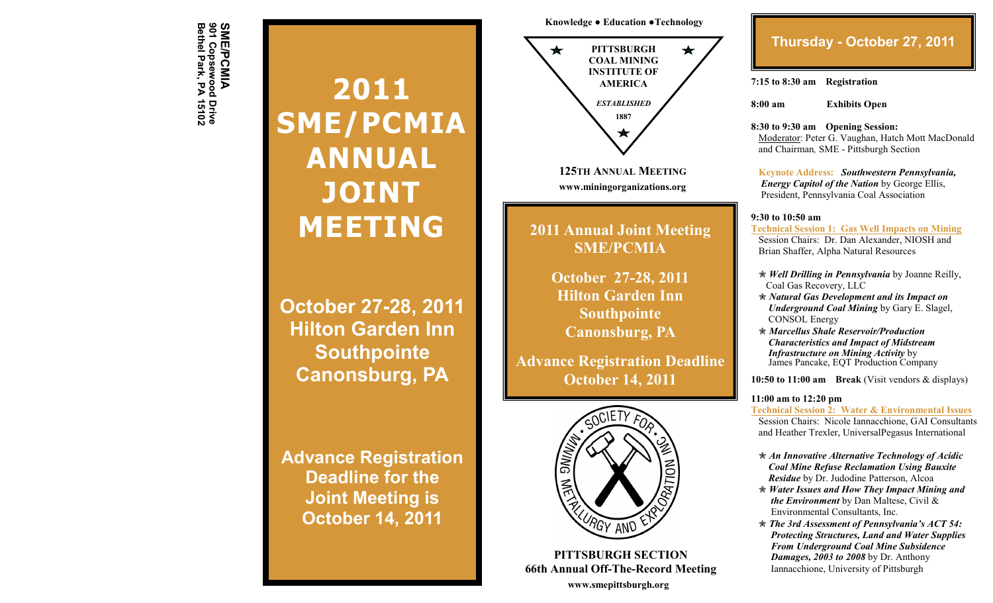SME/PCMIA<br>901 Copsewood Drive<br>Bethel Park, PA 15102 **Bethel Park, PA 15102 901 Copsewood Drive SME/PCMIA**

# **2011 SME/PCMIA ANNUAL JOINT MEETING**

**October 27-28, 2011 Hilton Garden Inn Southpointe Canonsburg, PA**

**Advance Registration Deadline for the Joint Meeting is October 14, 2011**

**Knowledge ● Education ●Technology**



**125TH ANNUAL MEETING www.miningorganizations.org**

**2011 Annual Joint Meeting SME/PCMIA**

> **October 27-28, 2011 Hilton Garden Inn Southpointe Canonsburg, PA**

**Advance Registration Deadline October 14, 2011**



**PITTSBURGH SECTION 66th Annual Off-The-Record Meeting www.smepittsburgh.org**

## **Thursday - October 27, 2011**

**7:15 to 8:30 am Registration**

**8:00 am Exhibits Open**

**8:30 to 9:30 am Opening Session:**

 Moderator: Peter G. Vaughan, Hatch Mott MacDonald and Chairman*,* SME - Pittsburgh Section

 **Keynote Address:** *Southwestern Pennsylvania, Energy Capitol of the Nation* by George Ellis, President, Pennsylvania Coal Association

#### **9:30 to 10:50 am**

**Technical Session 1: Gas Well Impacts on Mining** Session Chairs: Dr. Dan Alexander, NIOSH and Brian Shaffer, Alpha Natural Resources

- *Well Drilling in Pennsylvania* by Joanne Reilly, Coal Gas Recovery, LLC
- *Natural Gas Development and its Impact on Underground Coal Mining* by Gary E. Slagel, CONSOL Energy
- *Marcellus Shale Reservoir/Production Characteristics and Impact of Midstream Infrastructure on Mining Activity* by James Pancake, EQT Production Company

**10:50 to 11:00 am Break** (Visit vendors & displays)

#### **11:00 am to 12:20 pm**

**Technical Session 2: Water & Environmental Issues** Session Chairs: Nicole Iannacchione, GAI Consultants and Heather Trexler, UniversalPegasus International

- *An Innovative Alternative Technology of Acidic Coal Mine Refuse Reclamation Using Bauxite Residue* by Dr. Judodine Patterson, Alcoa
- *Water Issues and How They Impact Mining and the Environment* by Dan Maltese, Civil & Environmental Consultants, Inc.
- *The 3rd Assessment of Pennsylvania's ACT 54: Protecting Structures, Land and Water Supplies From Underground Coal Mine Subsidence Damages, 2003 to 2008* by Dr. Anthony Iannacchione, University of Pittsburgh